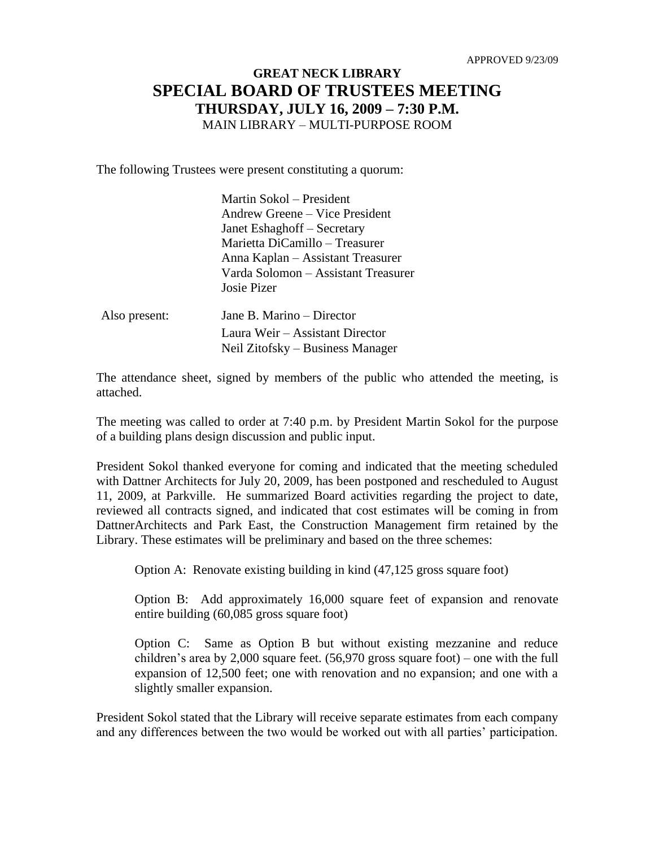## **GREAT NECK LIBRARY SPECIAL BOARD OF TRUSTEES MEETING THURSDAY, JULY 16, 2009 – 7:30 P.M.** MAIN LIBRARY – MULTI-PURPOSE ROOM

The following Trustees were present constituting a quorum:

|               | Martin Sokol – President            |
|---------------|-------------------------------------|
|               | Andrew Greene – Vice President      |
|               | Janet Eshaghoff – Secretary         |
|               | Marietta DiCamillo – Treasurer      |
|               | Anna Kaplan – Assistant Treasurer   |
|               | Varda Solomon – Assistant Treasurer |
|               | Josie Pizer                         |
| Also present: | Jane B. Marino – Director           |
|               | Laura Weir – Assistant Director     |

The attendance sheet, signed by members of the public who attended the meeting, is attached.

Neil Zitofsky – Business Manager

The meeting was called to order at 7:40 p.m. by President Martin Sokol for the purpose of a building plans design discussion and public input.

President Sokol thanked everyone for coming and indicated that the meeting scheduled with Dattner Architects for July 20, 2009, has been postponed and rescheduled to August 11, 2009, at Parkville. He summarized Board activities regarding the project to date, reviewed all contracts signed, and indicated that cost estimates will be coming in from DattnerArchitects and Park East, the Construction Management firm retained by the Library. These estimates will be preliminary and based on the three schemes:

Option A: Renovate existing building in kind (47,125 gross square foot)

Option B: Add approximately 16,000 square feet of expansion and renovate entire building (60,085 gross square foot)

Option C: Same as Option B but without existing mezzanine and reduce children's area by 2,000 square feet. (56,970 gross square foot) – one with the full expansion of 12,500 feet; one with renovation and no expansion; and one with a slightly smaller expansion.

President Sokol stated that the Library will receive separate estimates from each company and any differences between the two would be worked out with all parties' participation.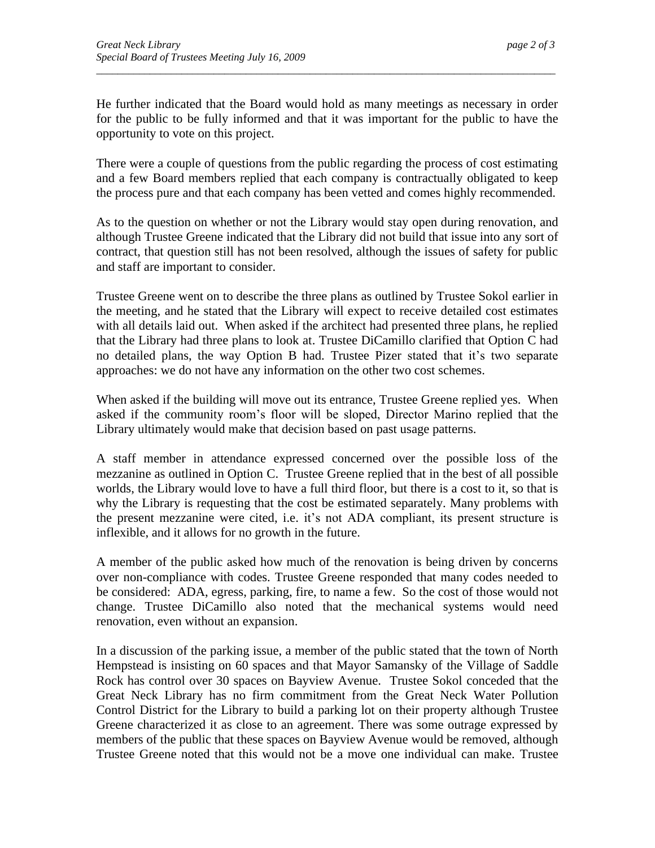He further indicated that the Board would hold as many meetings as necessary in order for the public to be fully informed and that it was important for the public to have the opportunity to vote on this project.

*\_\_\_\_\_\_\_\_\_\_\_\_\_\_\_\_\_\_\_\_\_\_\_\_\_\_\_\_\_\_\_\_\_\_\_\_\_\_\_\_\_\_\_\_\_\_\_\_\_\_\_\_\_\_\_\_\_\_\_\_\_\_\_\_\_\_\_\_\_\_\_\_\_\_\_\_\_\_\_\_\_\_\_\_\_\_*

There were a couple of questions from the public regarding the process of cost estimating and a few Board members replied that each company is contractually obligated to keep the process pure and that each company has been vetted and comes highly recommended.

As to the question on whether or not the Library would stay open during renovation, and although Trustee Greene indicated that the Library did not build that issue into any sort of contract, that question still has not been resolved, although the issues of safety for public and staff are important to consider.

Trustee Greene went on to describe the three plans as outlined by Trustee Sokol earlier in the meeting, and he stated that the Library will expect to receive detailed cost estimates with all details laid out. When asked if the architect had presented three plans, he replied that the Library had three plans to look at. Trustee DiCamillo clarified that Option C had no detailed plans, the way Option B had. Trustee Pizer stated that it's two separate approaches: we do not have any information on the other two cost schemes.

When asked if the building will move out its entrance, Trustee Greene replied yes. When asked if the community room's floor will be sloped, Director Marino replied that the Library ultimately would make that decision based on past usage patterns.

A staff member in attendance expressed concerned over the possible loss of the mezzanine as outlined in Option C. Trustee Greene replied that in the best of all possible worlds, the Library would love to have a full third floor, but there is a cost to it, so that is why the Library is requesting that the cost be estimated separately. Many problems with the present mezzanine were cited, i.e. it's not ADA compliant, its present structure is inflexible, and it allows for no growth in the future.

A member of the public asked how much of the renovation is being driven by concerns over non-compliance with codes. Trustee Greene responded that many codes needed to be considered: ADA, egress, parking, fire, to name a few. So the cost of those would not change. Trustee DiCamillo also noted that the mechanical systems would need renovation, even without an expansion.

In a discussion of the parking issue, a member of the public stated that the town of North Hempstead is insisting on 60 spaces and that Mayor Samansky of the Village of Saddle Rock has control over 30 spaces on Bayview Avenue. Trustee Sokol conceded that the Great Neck Library has no firm commitment from the Great Neck Water Pollution Control District for the Library to build a parking lot on their property although Trustee Greene characterized it as close to an agreement. There was some outrage expressed by members of the public that these spaces on Bayview Avenue would be removed, although Trustee Greene noted that this would not be a move one individual can make. Trustee